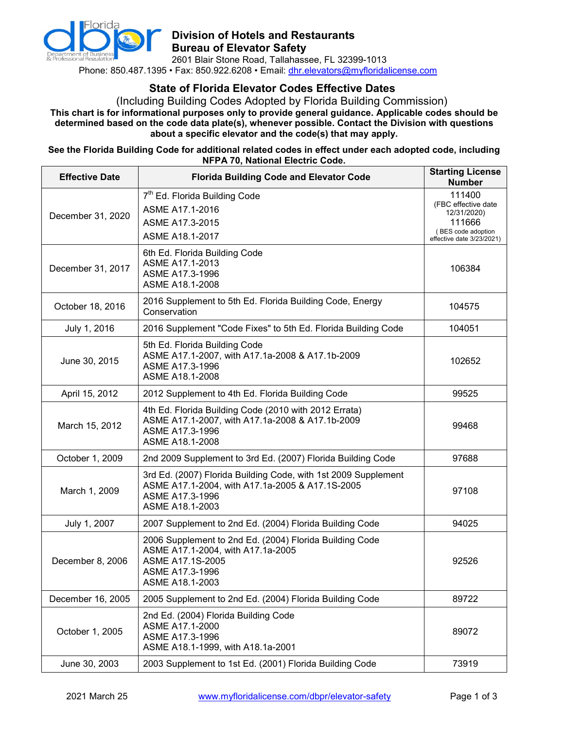

# **Division of Hotels and Restaurants Bureau of Elevator Safety**

2601 Blair Stone Road, Tallahassee, FL 32399-1013 Phone: 850.487.1395 • Fax: 850.922.6208 • Email: [dhr.elevators@myfloridalicense.com](mailto:dhr.elevators@myfloridalicense.com)

# **State of Florida Elevator Codes Effective Dates**

(Including Building Codes Adopted by Florida Building Commission) **This chart is for informational purposes only to provide general guidance. Applicable codes should be determined based on the code data plate(s), whenever possible. Contact the Division with questions about a specific elevator and the code(s) that may apply.**

#### **See the Florida Building Code for additional related codes in effect under each adopted code, including NFPA 70, National Electric Code.**

| <b>Effective Date</b> | <b>Florida Building Code and Elevator Code</b>                                                                                                          | <b>Starting License</b><br><b>Number</b>                                                                  |
|-----------------------|---------------------------------------------------------------------------------------------------------------------------------------------------------|-----------------------------------------------------------------------------------------------------------|
| December 31, 2020     | 7 <sup>th</sup> Ed. Florida Building Code<br>ASME A17.1-2016<br>ASME A17.3-2015<br>ASME A18.1-2017                                                      | 111400<br>(FBC effective date<br>12/31/2020)<br>111666<br>(BES code adoption<br>effective date 3/23/2021) |
| December 31, 2017     | 6th Ed. Florida Building Code<br>ASME A17.1-2013<br>ASME A17.3-1996<br>ASME A18.1-2008                                                                  | 106384                                                                                                    |
| October 18, 2016      | 2016 Supplement to 5th Ed. Florida Building Code, Energy<br>Conservation                                                                                | 104575                                                                                                    |
| July 1, 2016          | 2016 Supplement "Code Fixes" to 5th Ed. Florida Building Code                                                                                           | 104051                                                                                                    |
| June 30, 2015         | 5th Ed. Florida Building Code<br>ASME A17.1-2007, with A17.1a-2008 & A17.1b-2009<br>ASME A17.3-1996<br>ASME A18.1-2008                                  | 102652                                                                                                    |
| April 15, 2012        | 2012 Supplement to 4th Ed. Florida Building Code                                                                                                        | 99525                                                                                                     |
| March 15, 2012        | 4th Ed. Florida Building Code (2010 with 2012 Errata)<br>ASME A17.1-2007, with A17.1a-2008 & A17.1b-2009<br>ASME A17.3-1996<br>ASME A18.1-2008          | 99468                                                                                                     |
| October 1, 2009       | 2nd 2009 Supplement to 3rd Ed. (2007) Florida Building Code                                                                                             | 97688                                                                                                     |
| March 1, 2009         | 3rd Ed. (2007) Florida Building Code, with 1st 2009 Supplement<br>ASME A17.1-2004, with A17.1a-2005 & A17.1S-2005<br>ASME A17.3-1996<br>ASME A18.1-2003 | 97108                                                                                                     |
| July 1, 2007          | 2007 Supplement to 2nd Ed. (2004) Florida Building Code                                                                                                 | 94025                                                                                                     |
| December 8, 2006      | 2006 Supplement to 2nd Ed. (2004) Florida Building Code<br>ASME A17.1-2004, with A17.1a-2005<br>ASME A17.1S-2005<br>ASME A17.3-1996<br>ASME A18.1-2003  | 92526                                                                                                     |
| December 16, 2005     | 2005 Supplement to 2nd Ed. (2004) Florida Building Code                                                                                                 | 89722                                                                                                     |
| October 1, 2005       | 2nd Ed. (2004) Florida Building Code<br>ASME A17.1-2000<br>ASME A17.3-1996<br>ASME A18.1-1999, with A18.1a-2001                                         | 89072                                                                                                     |
| June 30, 2003         | 2003 Supplement to 1st Ed. (2001) Florida Building Code                                                                                                 | 73919                                                                                                     |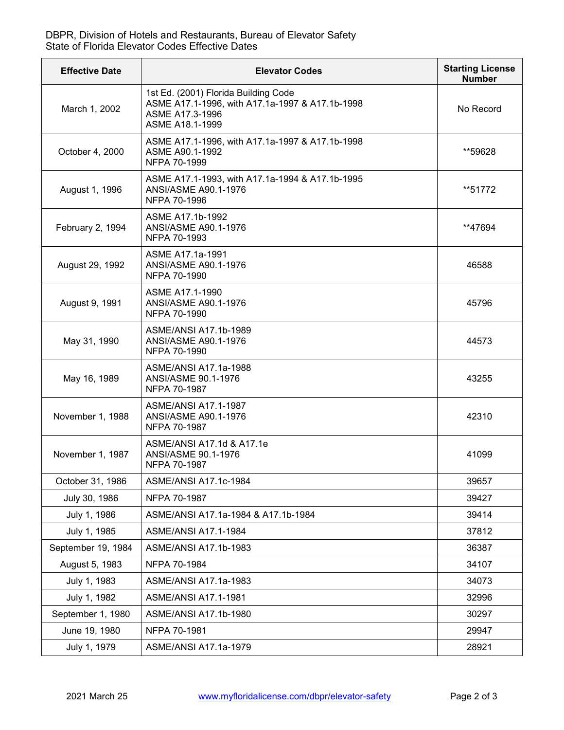## DBPR, Division of Hotels and Restaurants, Bureau of Elevator Safety State of Florida Elevator Codes Effective Dates

| <b>Effective Date</b> | <b>Elevator Codes</b>                                                                                                         | <b>Starting License</b><br><b>Number</b> |
|-----------------------|-------------------------------------------------------------------------------------------------------------------------------|------------------------------------------|
| March 1, 2002         | 1st Ed. (2001) Florida Building Code<br>ASME A17.1-1996, with A17.1a-1997 & A17.1b-1998<br>ASME A17.3-1996<br>ASME A18.1-1999 | No Record                                |
| October 4, 2000       | ASME A17.1-1996, with A17.1a-1997 & A17.1b-1998<br>ASME A90.1-1992<br>NFPA 70-1999                                            | **59628                                  |
| August 1, 1996        | ASME A17.1-1993, with A17.1a-1994 & A17.1b-1995<br><b>ANSI/ASME A90.1-1976</b><br>NFPA 70-1996                                | **51772                                  |
| February 2, 1994      | ASME A17.1b-1992<br>ANSI/ASME A90.1-1976<br>NFPA 70-1993                                                                      | **47694                                  |
| August 29, 1992       | ASME A17.1a-1991<br>ANSI/ASME A90.1-1976<br>NFPA 70-1990                                                                      | 46588                                    |
| August 9, 1991        | ASME A17.1-1990<br>ANSI/ASME A90.1-1976<br>NFPA 70-1990                                                                       | 45796                                    |
| May 31, 1990          | ASME/ANSI A17.1b-1989<br>ANSI/ASME A90.1-1976<br>NFPA 70-1990                                                                 | 44573                                    |
| May 16, 1989          | ASME/ANSI A17.1a-1988<br>ANSI/ASME 90.1-1976<br>NFPA 70-1987                                                                  | 43255                                    |
| November 1, 1988      | <b>ASME/ANSI A17.1-1987</b><br>ANSI/ASME A90.1-1976<br>NFPA 70-1987                                                           | 42310                                    |
| November 1, 1987      | ASME/ANSI A17.1d & A17.1e<br>ANSI/ASME 90.1-1976<br>NFPA 70-1987                                                              | 41099                                    |
| October 31, 1986      | <b>ASME/ANSI A17.1c-1984</b>                                                                                                  | 39657                                    |
| July 30, 1986         | NFPA 70-1987                                                                                                                  | 39427                                    |
| July 1, 1986          | ASME/ANSI A17.1a-1984 & A17.1b-1984                                                                                           | 39414                                    |
| July 1, 1985          | <b>ASME/ANSI A17.1-1984</b>                                                                                                   | 37812                                    |
| September 19, 1984    | ASME/ANSI A17.1b-1983                                                                                                         | 36387                                    |
| August 5, 1983        | NFPA 70-1984                                                                                                                  | 34107                                    |
| July 1, 1983          | ASME/ANSI A17.1a-1983                                                                                                         | 34073                                    |
| July 1, 1982          | ASME/ANSI A17.1-1981                                                                                                          | 32996                                    |
| September 1, 1980     | ASME/ANSI A17.1b-1980                                                                                                         | 30297                                    |
| June 19, 1980         | NFPA 70-1981                                                                                                                  | 29947                                    |
| July 1, 1979          | ASME/ANSI A17.1a-1979                                                                                                         | 28921                                    |